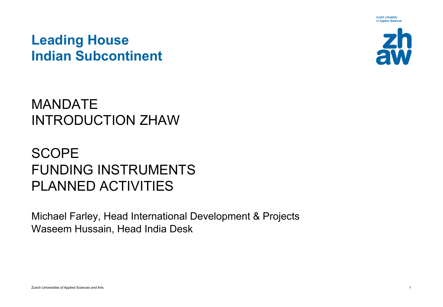**Zurich University** of Applied Sciences

#### **Leading House Indian Subcontinent**



## MANDATE INTRODUCTION ZHAW

# **SCOPE** FUNDING INSTRUMENTS PLANNED ACTIVITIES

Michael Farley, Head International Development & Projects Waseem Hussain, Head India Desk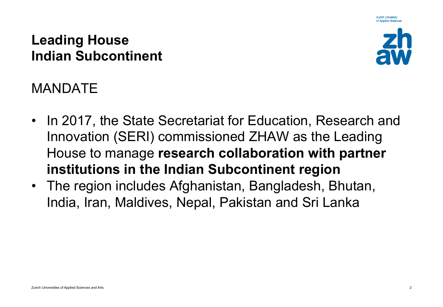**Zurich University** of Applied Sciences

#### **Leading House Indian Subcontinent**



# MANDATE

- In 2017, the State Secretariat for Education, Research and Innovation (SERI) commissioned ZHAW as the Leading House to manage **research collaboration with partner institutions in the Indian Subcontinent region**
- The region includes Afghanistan, Bangladesh, Bhutan, India, Iran, Maldives, Nepal, Pakistan and Sri Lanka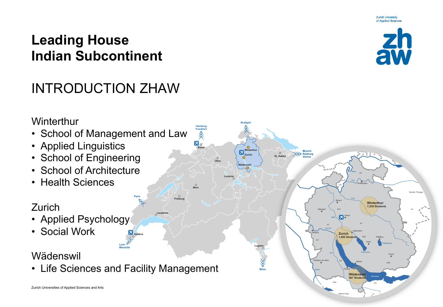# INTRODUCTION ZHAW



Kanton Zug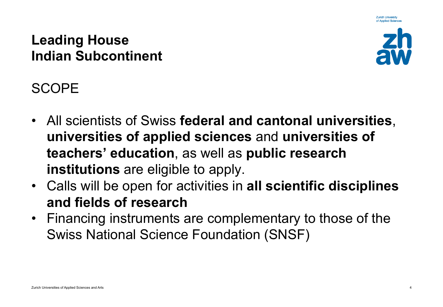**Zurich University** of Applied Science

#### **Leading House Indian Subcontinent**



SCOPE

- All scientists of Swiss **federal and cantonal universities**, **universities of applied sciences** and **universities of teachers' education**, as well as **public research institutions** are eligible to apply.
- Calls will be open for activities in **all scientific disciplines and fields of research**
- Financing instruments are complementary to those of the Swiss National Science Foundation (SNSF)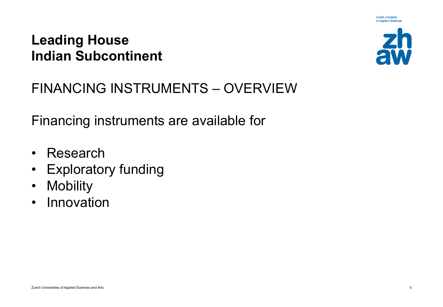

**Zurich University** of Applied Sciences

## FINANCING INSTRUMENTS – OVERVIEW

Financing instruments are available for

- Research
- Exploratory funding
- Mobility
- Innovation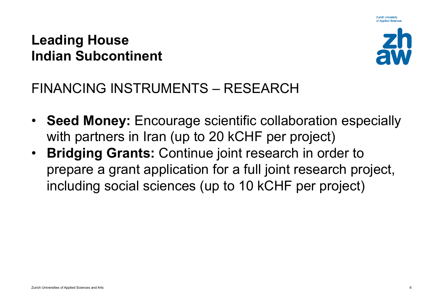

**Zurich University** 

## FINANCING INSTRUMENTS – RESEARCH

- **Seed Money:** Encourage scientific collaboration especially with partners in Iran (up to 20 kCHF per project)
- **Bridging Grants:** Continue joint research in order to prepare a grant application for a full joint research project, including social sciences (up to 10 kCHF per project)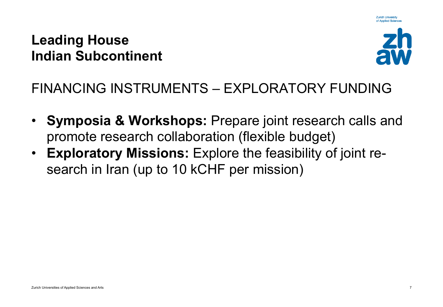

**Zurich University** 

# FINANCING INSTRUMENTS – EXPLORATORY FUNDING

- **Symposia & Workshops:** Prepare joint research calls and promote research collaboration (flexible budget)
- **Exploratory Missions:** Explore the feasibility of joint research in Iran (up to 10 kCHF per mission)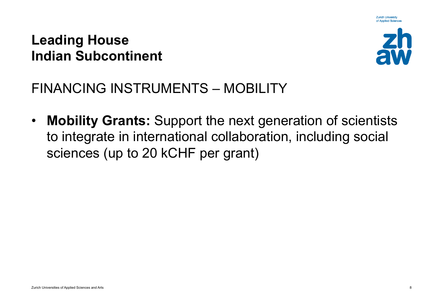

**Zurich University** 

FINANCING INSTRUMENTS – MOBILITY

• **Mobility Grants:** Support the next generation of scientists to integrate in international collaboration, including social sciences (up to 20 kCHF per grant)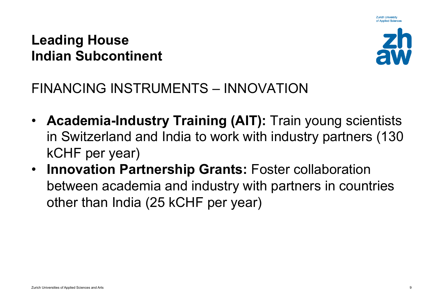

**Zurich University** 

## FINANCING INSTRUMENTS – INNOVATION

- **Academia-Industry Training (AIT):** Train young scientists in Switzerland and India to work with industry partners (130 kCHF per year)
- **Innovation Partnership Grants:** Foster collaboration between academia and industry with partners in countries other than India (25 kCHF per year)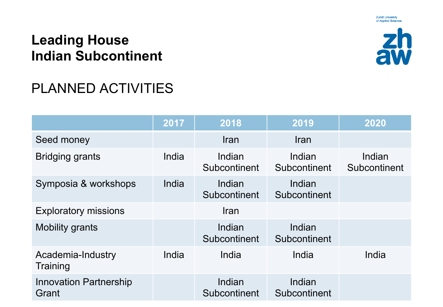

**Zurich University** of Applied Sciences

# PLANNED ACTIVITIES

|                                        | 2017  | 2018                   | 2019                   | 2020                   |
|----------------------------------------|-------|------------------------|------------------------|------------------------|
| Seed money                             |       | Iran                   | <b>Iran</b>            |                        |
| <b>Bridging grants</b>                 | India | Indian<br>Subcontinent | Indian<br>Subcontinent | Indian<br>Subcontinent |
| Symposia & workshops                   | India | Indian<br>Subcontinent | Indian<br>Subcontinent |                        |
| <b>Exploratory missions</b>            |       | Iran                   |                        |                        |
| <b>Mobility grants</b>                 |       | Indian<br>Subcontinent | Indian<br>Subcontinent |                        |
| Academia-Industry<br>Training          | India | India                  | India                  | India                  |
| <b>Innovation Partnership</b><br>Grant |       | Indian<br>Subcontinent | Indian<br>Subcontinent |                        |